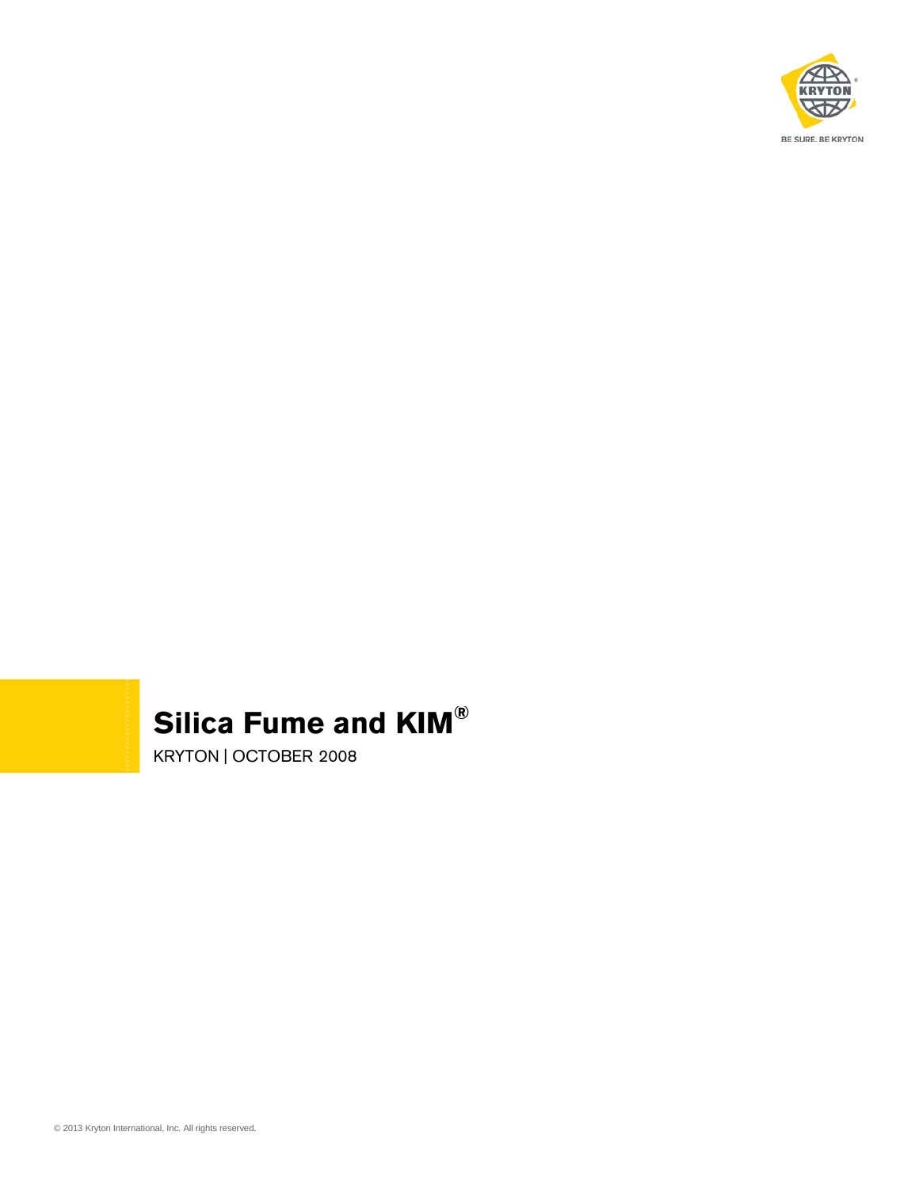

## **Silica Fume and KIM®**

KRYTON | OCTOBER 2008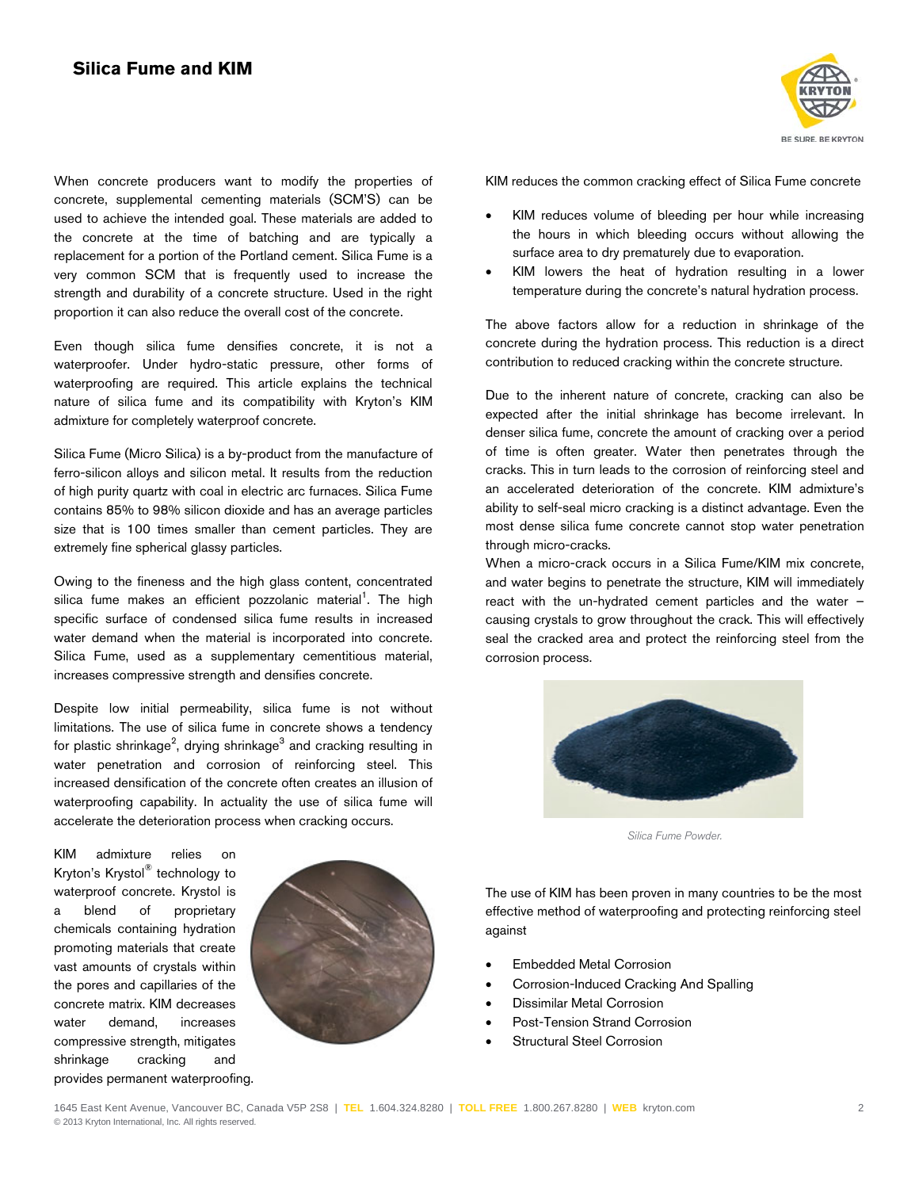When concrete producers want to modify the properties of concrete, supplemental cementing materials (SCM'S) can be used to achieve the intended goal. These materials are added to the concrete at the time of batching and are typically a replacement for a portion of the Portland cement. Silica Fume is a very common SCM that is frequently used to increase the strength and durability of a concrete structure. Used in the right proportion it can also reduce the overall cost of the concrete.

Even though silica fume densifies concrete, it is not a waterproofer. Under hydro-static pressure, other forms of waterproofing are required. This article explains the technical nature of silica fume and its compatibility with Kryton's KIM admixture for completely waterproof concrete.

Silica Fume (Micro Silica) is a by-product from the manufacture of ferro-silicon alloys and silicon metal. It results from the reduction of high purity quartz with coal in electric arc furnaces. Silica Fume contains 85% to 98% silicon dioxide and has an average particles size that is 100 times smaller than cement particles. They are extremely fine spherical glassy particles.

Owing to the fineness and the high glass content, concentrated silica fume makes an efficient pozzolanic material<sup>1</sup>. The high specific surface of condensed silica fume results in increased water demand when the material is incorporated into concrete. Silica Fume, used as a supplementary cementitious material, increases compressive strength and densifies concrete.

Despite low initial permeability, silica fume is not without limitations. The use of silica fume in concrete shows a tendency for plastic shrinkage<sup>2</sup>, drying shrinkage $^3$  and cracking resulting in water penetration and corrosion of reinforcing steel. This increased densification of the concrete often creates an illusion of waterproofing capability. In actuality the use of silica fume will accelerate the deterioration process when cracking occurs.

KIM admixture relies on Kryton's Krystol® technology to waterproof concrete. Krystol is a blend of proprietary chemicals containing hydration promoting materials that create vast amounts of crystals within the pores and capillaries of the concrete matrix. KIM decreases water demand, increases compressive strength, mitigates shrinkage cracking and provides permanent waterproofing.





KIM reduces the common cracking effect of Silica Fume concrete

- KIM reduces volume of bleeding per hour while increasing the hours in which bleeding occurs without allowing the surface area to dry prematurely due to evaporation.
- KIM lowers the heat of hydration resulting in a lower temperature during the concrete's natural hydration process.

The above factors allow for a reduction in shrinkage of the concrete during the hydration process. This reduction is a direct contribution to reduced cracking within the concrete structure.

Due to the inherent nature of concrete, cracking can also be expected after the initial shrinkage has become irrelevant. In denser silica fume, concrete the amount of cracking over a period of time is often greater. Water then penetrates through the cracks. This in turn leads to the corrosion of reinforcing steel and an accelerated deterioration of the concrete. KIM admixture's ability to self-seal micro cracking is a distinct advantage. Even the most dense silica fume concrete cannot stop water penetration through micro-cracks.

When a micro-crack occurs in a Silica Fume/KIM mix concrete, and water begins to penetrate the structure, KIM will immediately react with the un-hydrated cement particles and the water – causing crystals to grow throughout the crack. This will effectively seal the cracked area and protect the reinforcing steel from the corrosion process.



*Silica Fume Powder.*

The use of KIM has been proven in many countries to be the most effective method of waterproofing and protecting reinforcing steel against

- Embedded Metal Corrosion
- Corrosion-Induced Cracking And Spalling
- Dissimilar Metal Corrosion
- Post-Tension Strand Corrosion
- Structural Steel Corrosion